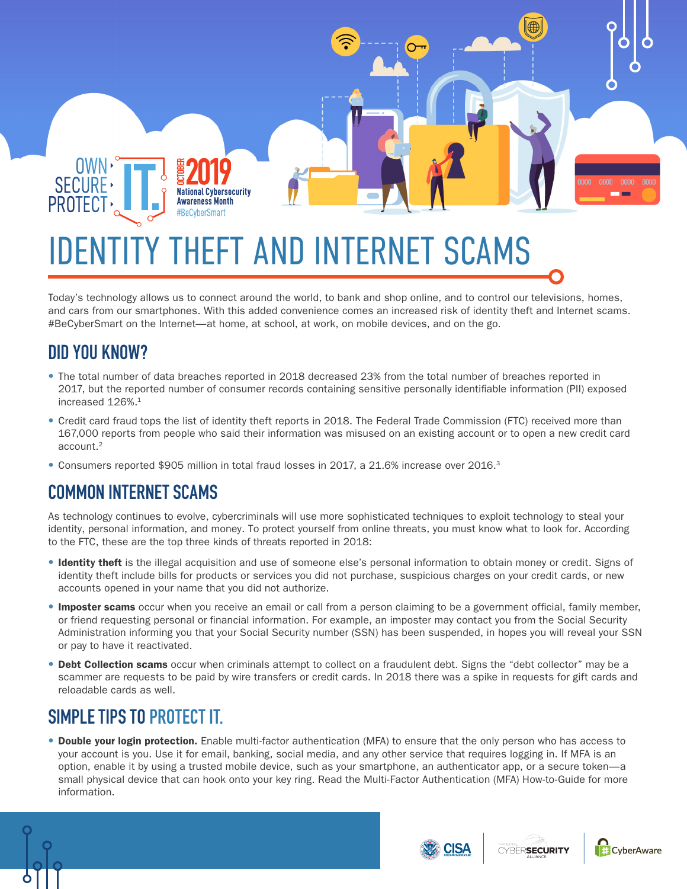

#### Today's technology allows us to connect around the world, to bank and shop online, and to control our televisions, homes, and cars from our smartphones. With this added convenience comes an increased risk of identity theft and Internet scams. #BeCyberSmart on the Internet—at home, at school, at work, on mobile devices, and on the go.

# **DID YOU KNOW?**

- The total number of data breaches reported in 2018 decreased 23% from the total number of breaches reported in 2017, but the reported number of consumer records containing sensitive personally identifiable information (PII) exposed increased 126%.<sup>1</sup>
- Credit card fraud tops the list of identity theft reports in 2018. The Federal Trade Commission (FTC) received more than 167,000 reports from people who said their information was misused on an existing account or to open a new credit card account.2
- Consumers reported \$905 million in total fraud losses in 2017, a 21.6% increase over 2016.<sup>3</sup>

#### **COMMON INTERNET SCAMS**

As technology continues to evolve, cybercriminals will use more sophisticated techniques to exploit technology to steal your identity, personal information, and money. To protect yourself from online threats, you must know what to look for. According to the FTC, these are the top three kinds of threats reported in 2018:

- Identity theft is the illegal acquisition and use of someone else's personal information to obtain money or credit. Signs of identity theft include bills for products or services you did not purchase, suspicious charges on your credit cards, or new accounts opened in your name that you did not authorize.
- Imposter scams occur when you receive an email or call from a person claiming to be a government official, family member, or friend requesting personal or financial information. For example, an imposter may contact you from the Social Security Administration informing you that your Social Security number (SSN) has been suspended, in hopes you will reveal your SSN or pay to have it reactivated.
- Debt Collection scams occur when criminals attempt to collect on a fraudulent debt. Signs the "debt collector" may be a scammer are requests to be paid by wire transfers or credit cards. In 2018 there was a spike in requests for gift cards and reloadable cards as well.

### **SIMPLE TIPS TO PROTECT IT.**

**•** Double your login protection. Enable multi-factor authentication (MFA) to ensure that the only person who has access to your account is you. Use it for email, banking, social media, and any other service that requires logging in. If MFA is an option, enable it by using a trusted mobile device, such as your smartphone, an authenticator app, or a secure token—a small physical device that can hook onto your key ring. Read the Multi-Factor Authentication (MFA) How-to-Guide for more information.